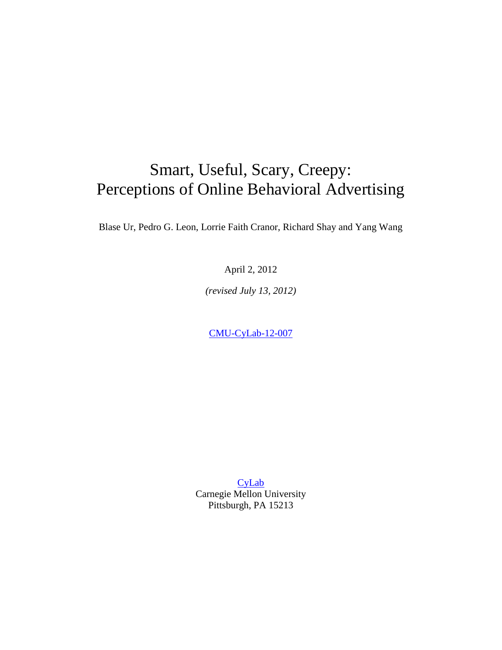# Smart, Useful, Scary, Creepy: Perceptions of Online Behavioral Advertising

Blase Ur, Pedro G. Leon, Lorrie Faith Cranor, Richard Shay and Yang Wang

April 2, 2012

*(revised July 13, 2012)*

[CMU-CyLab-12-007](http://www.cylab.cmu.edu/research/techreports/2012/tr_cylab12007.html)

**[CyLab](http://www.cylab.cmu.edu/)** Carnegie Mellon University Pittsburgh, PA 15213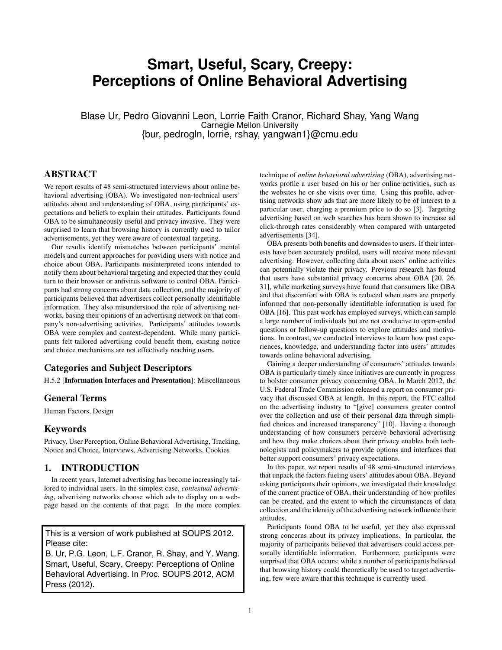## **Smart, Useful, Scary, Creepy: Perceptions of Online Behavioral Advertising**

Blase Ur, Pedro Giovanni Leon, Lorrie Faith Cranor, Richard Shay, Yang Wang Carnegie Mellon University {bur, pedrogln, lorrie, rshay, yangwan1}@cmu.edu

## ABSTRACT

We report results of 48 semi-structured interviews about online behavioral advertising (OBA). We investigated non-technical users' attitudes about and understanding of OBA, using participants' expectations and beliefs to explain their attitudes. Participants found OBA to be simultaneously useful and privacy invasive. They were surprised to learn that browsing history is currently used to tailor advertisements, yet they were aware of contextual targeting.

Our results identify mismatches between participants' mental models and current approaches for providing users with notice and choice about OBA. Participants misinterpreted icons intended to notify them about behavioral targeting and expected that they could turn to their browser or antivirus software to control OBA. Participants had strong concerns about data collection, and the majority of participants believed that advertisers collect personally identifiable information. They also misunderstood the role of advertising networks, basing their opinions of an advertising network on that company's non-advertising activities. Participants' attitudes towards OBA were complex and context-dependent. While many participants felt tailored advertising could benefit them, existing notice and choice mechanisms are not effectively reaching users.

## Categories and Subject Descriptors

H.5.2 [Information Interfaces and Presentation]: Miscellaneous

## General Terms

Human Factors, Design

## Keywords

Privacy, User Perception, Online Behavioral Advertising, Tracking, Notice and Choice, Interviews, Advertising Networks, Cookies

#### 1. INTRODUCTION

In recent years, Internet advertising has become increasingly tailored to individual users. In the simplest case, *contextual advertising*, advertising networks choose which ads to display on a webpage based on the contents of that page. In the more complex

This is a version of work published at SOUPS 2012. Please cite:

 $C_1$  C<sub>r</sub>  $C_2$  and  $C_3$  and  $C_4$  authorizes digital or  $C_4$  or  $C_5$  or  $C_6$  or  $C_7$  or  $C_7$  or  $C_8$  or  $C_7$  or  $C_8$  or  $C_7$  or  $C_8$  or  $C_9$  or  $C_9$  or  $C_9$  or  $C_9$  or  $C_9$  or  $C_9$  or  $C_9$  or  $C_9$  or Smart, Useful, Scary, Creepy: Perceptions of Online Behavioral Advertising. In Proc. SOUPS 2012, ACM *Symposium On Usable Privacy and Security (SOUPS)* 2012, July 11-13, Press (2012). B. Ur, P.G. Leon, L.F. Cranor, R. Shay, and Y. Wang. technique of *online behavioral advertising* (OBA), advertising networks profile a user based on his or her online activities, such as the websites he or she visits over time. Using this profile, advertising networks show ads that are more likely to be of interest to a particular user, charging a premium price to do so [\[3\]](#page-11-0). Targeting advertising based on web searches has been shown to increase ad click-through rates considerably when compared with untargeted advertisements [\[34\]](#page-12-0).

OBA presents both benefits and downsides to users. If their interests have been accurately profiled, users will receive more relevant advertising. However, collecting data about users' online activities can potentially violate their privacy. Previous research has found that users have substantial privacy concerns about OBA [\[20,](#page-12-1) [26,](#page-12-2) [31\]](#page-12-3), while marketing surveys have found that consumers like OBA and that discomfort with OBA is reduced when users are properly informed that non-personally identifiable information is used for OBA [\[16\]](#page-12-4). This past work has employed surveys, which can sample a large number of individuals but are not conducive to open-ended questions or follow-up questions to explore attitudes and motivations. In contrast, we conducted interviews to learn how past experiences, knowledge, and understanding factor into users' attitudes towards online behavioral advertising.

Gaining a deeper understanding of consumers' attitudes towards OBA is particularly timely since initiatives are currently in progress to bolster consumer privacy concerning OBA. In March 2012, the U.S. Federal Trade Commission released a report on consumer privacy that discussed OBA at length. In this report, the FTC called on the advertising industry to "[give] consumers greater control over the collection and use of their personal data through simplified choices and increased transparency" [\[10\]](#page-12-5). Having a thorough understanding of how consumers perceive behavioral advertising and how they make choices about their privacy enables both technologists and policymakers to provide options and interfaces that better support consumers' privacy expectations.

In this paper, we report results of 48 semi-structured interviews that unpack the factors fueling users' attitudes about OBA. Beyond asking participants their opinions, we investigated their knowledge of the current practice of OBA, their understanding of how profiles can be created, and the extent to which the circumstances of data collection and the identity of the advertising network influence their attitudes.

Participants found OBA to be useful, yet they also expressed strong concerns about its privacy implications. In particular, the majority of participants believed that advertisers could access personally identifiable information. Furthermore, participants were surprised that OBA occurs; while a number of participants believed that browsing history could theoretically be used to target advertising, few were aware that this technique is currently used.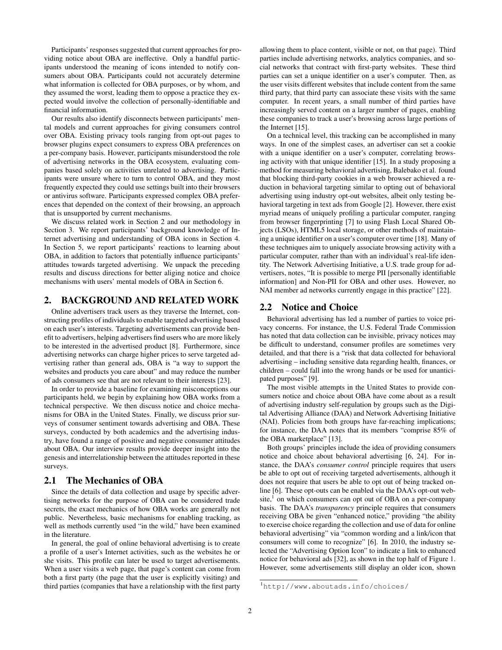Participants' responses suggested that current approaches for providing notice about OBA are ineffective. Only a handful participants understood the meaning of icons intended to notify consumers about OBA. Participants could not accurately determine what information is collected for OBA purposes, or by whom, and they assumed the worst, leading them to oppose a practice they expected would involve the collection of personally-identifiable and financial information.

Our results also identify disconnects between participants' mental models and current approaches for giving consumers control over OBA. Existing privacy tools ranging from opt-out pages to browser plugins expect consumers to express OBA preferences on a per-company basis. However, participants misunderstood the role of advertising networks in the OBA ecosystem, evaluating companies based solely on activities unrelated to advertising. Participants were unsure where to turn to control OBA, and they most frequently expected they could use settings built into their browsers or antivirus software. Participants expressed complex OBA preferences that depended on the context of their browsing, an approach that is unsupported by current mechanisms.

We discuss related work in Section [2](#page-2-0) and our methodology in Section [3.](#page-3-0) We report participants' background knowledge of Internet advertising and understanding of OBA icons in Section [4.](#page-4-0) In Section [5,](#page-6-0) we report participants' reactions to learning about OBA, in addition to factors that potentially influence participants' attitudes towards targeted advertising. We unpack the preceding results and discuss directions for better aliging notice and choice mechanisms with users' mental models of OBA in Section [6.](#page-9-0)

## <span id="page-2-0"></span>2. BACKGROUND AND RELATED WORK

Online advertisers track users as they traverse the Internet, constructing profiles of individuals to enable targeted advertising based on each user's interests. Targeting advertisements can provide benefit to advertisers, helping advertisers find users who are more likely to be interested in the advertised product [\[8\]](#page-11-1). Furthermore, since advertising networks can charge higher prices to serve targeted advertising rather than general ads, OBA is "a way to support the websites and products you care about" and may reduce the number of ads consumers see that are not relevant to their interests [\[23\]](#page-12-6).

In order to provide a baseline for examining misconceptions our participants held, we begin by explaining how OBA works from a technical perspective. We then discuss notice and choice mechanisms for OBA in the United States. Finally, we discuss prior surveys of consumer sentiment towards advertising and OBA. These surveys, conducted by both academics and the advertising industry, have found a range of positive and negative consumer attitudes about OBA. Our interview results provide deeper insight into the genesis and interrelationship between the attitudes reported in these surveys.

## 2.1 The Mechanics of OBA

Since the details of data collection and usage by specific advertising networks for the purpose of OBA can be considered trade secrets, the exact mechanics of how OBA works are generally not public. Nevertheless, basic mechanisms for enabling tracking, as well as methods currently used "in the wild," have been examined in the literature.

In general, the goal of online behavioral advertising is to create a profile of a user's Internet activities, such as the websites he or she visits. This profile can later be used to target advertisements. When a user visits a web page, that page's content can come from both a first party (the page that the user is explicitly visiting) and third parties (companies that have a relationship with the first party

allowing them to place content, visible or not, on that page). Third parties include advertising networks, analytics companies, and social networks that contract with first-party websites. These third parties can set a unique identifier on a user's computer. Then, as the user visits different websites that include content from the same third party, that third party can associate these visits with the same computer. In recent years, a small number of third parties have increasingly served content on a larger number of pages, enabling these companies to track a user's browsing across large portions of the Internet [\[15\]](#page-12-7).

On a technical level, this tracking can be accomplished in many ways. In one of the simplest cases, an advertiser can set a cookie with a unique identifier on a user's computer, correlating browsing activity with that unique identifier [\[15\]](#page-12-7). In a study proposing a method for measuring behavioral advertising, Balebako et al. found that blocking third-party cookies in a web browser achieved a reduction in behavioral targeting similar to opting out of behavioral advertising using industry opt-out websites, albeit only testing behavioral targeting in text ads from Google [\[2\]](#page-11-2). However, there exist myriad means of uniquely profiling a particular computer, ranging from browser fingerprinting [\[7\]](#page-11-3) to using Flash Local Shared Objects (LSOs), HTML5 local storage, or other methods of maintaining a unique identifier on a user's computer over time [\[18\]](#page-12-8). Many of these techniques aim to uniquely associate browsing activity with a particular computer, rather than with an individual's real-life identity. The Network Advertising Initiative, a U.S. trade group for advertisers, notes, "It is possible to merge PII [personally identifiable information] and Non-PII for OBA and other uses. However, no NAI member ad networks currently engage in this practice" [\[22\]](#page-12-9).

#### 2.2 Notice and Choice

Behavioral advertising has led a number of parties to voice privacy concerns. For instance, the U.S. Federal Trade Commission has noted that data collection can be invisible, privacy notices may be difficult to understand, consumer profiles are sometimes very detailed, and that there is a "risk that data collected for behavioral advertising – including sensitive data regarding health, finances, or children – could fall into the wrong hands or be used for unanticipated purposes" [\[9\]](#page-11-4).

The most visible attempts in the United States to provide consumers notice and choice about OBA have come about as a result of advertising industry self-regulation by groups such as the Digital Advertising Alliance (DAA) and Network Advertising Initiative (NAI). Policies from both groups have far-reaching implications; for instance, the DAA notes that its members "comprise 85% of the OBA marketplace" [\[13\]](#page-12-10).

Both groups' principles include the idea of providing consumers notice and choice about behavioral advertising [\[6,](#page-11-5) [24\]](#page-12-11). For instance, the DAA's *consumer control* principle requires that users be able to opt out of receiving targeted advertisements, although it does not require that users be able to opt out of being tracked online [\[6\]](#page-11-5). These opt-outs can be enabled via the DAA's opt-out web-site,<sup>[1](#page-2-1)</sup> on which consumers can opt out of OBA on a per-company basis. The DAA's *transparency* principle requires that consumers receiving OBA be given "enhanced notice," providing "the ability to exercise choice regarding the collection and use of data for online behavioral advertising" via "common wording and a link/icon that consumers will come to recognize" [\[6\]](#page-11-5). In 2010, the industry selected the "Advertising Option Icon" to indicate a link to enhanced notice for behavioral ads [\[32\]](#page-12-12), as shown in the top half of Figure [1.](#page-4-1) However, some advertisements still display an older icon, shown

<span id="page-2-1"></span><sup>1</sup><http://www.aboutads.info/choices/>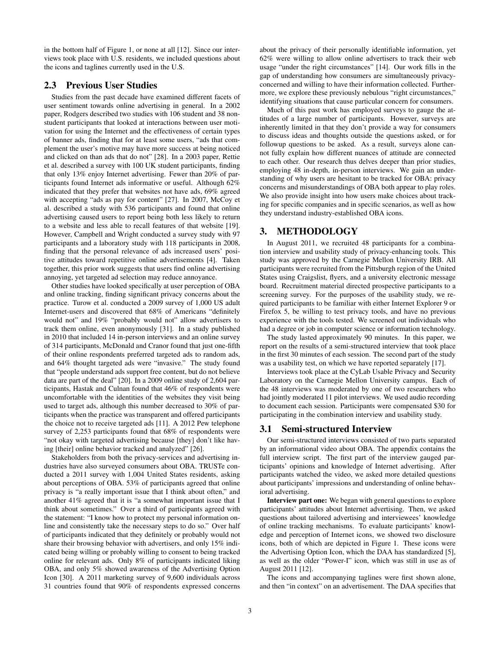in the bottom half of Figure [1,](#page-4-1) or none at all [\[12\]](#page-12-13). Since our interviews took place with U.S. residents, we included questions about the icons and taglines currently used in the U.S.

## 2.3 Previous User Studies

Studies from the past decade have examined different facets of user sentiment towards online advertising in general. In a 2002 paper, Rodgers described two studies with 106 student and 38 nonstudent participants that looked at interactions between user motivation for using the Internet and the effectiveness of certain types of banner ads, finding that for at least some users, "ads that complement the user's motive may have more success at being noticed and clicked on than ads that do not" [\[28\]](#page-12-14). In a 2003 paper, Rettie et al. described a survey with 100 UK student participants, finding that only 13% enjoy Internet advertising. Fewer than 20% of participants found Internet ads informative or useful. Although 62% indicated that they prefer that websites not have ads, 69% agreed with accepting "ads as pay for content" [\[27\]](#page-12-15). In 2007, McCoy et al. described a study with 536 participants and found that online advertising caused users to report being both less likely to return to a website and less able to recall features of that website [\[19\]](#page-12-16). However, Campbell and Wright conducted a survey study with 97 participants and a laboratory study with 118 participants in 2008, finding that the personal relevance of ads increased users' positive attitudes toward repetitive online advertisements [\[4\]](#page-11-6). Taken together, this prior work suggests that users find online advertising annoying, yet targeted ad selection may reduce annoyance.

Other studies have looked specifically at user perception of OBA and online tracking, finding significant privacy concerns about the practice. Turow et al. conducted a 2009 survey of 1,000 US adult Internet-users and discovered that 68% of Americans "definitely would not" and 19% "probably would not" allow advertisers to track them online, even anonymously [\[31\]](#page-12-3). In a study published in 2010 that included 14 in-person interviews and an online survey of 314 participants, McDonald and Cranor found that just one-fifth of their online respondents preferred targeted ads to random ads, and 64% thought targeted ads were "invasive." The study found that "people understand ads support free content, but do not believe data are part of the deal" [\[20\]](#page-12-1). In a 2009 online study of 2,604 participants, Hastak and Culnan found that 46% of respondents were uncomfortable with the identities of the websites they visit being used to target ads, although this number decreased to 30% of participants when the practice was transparent and offered participants the choice not to receive targeted ads [\[11\]](#page-12-17). A 2012 Pew telephone survey of 2,253 participants found that 68% of respondents were "not okay with targeted advertising because [they] don't like having [their] online behavior tracked and analyzed" [\[26\]](#page-12-2).

Stakeholders from both the privacy-services and advertising industries have also surveyed consumers about OBA. TRUSTe conducted a 2011 survey with 1,004 United States residents, asking about perceptions of OBA. 53% of participants agreed that online privacy is "a really important issue that I think about often," and another 41% agreed that it is "a somewhat important issue that I think about sometimes." Over a third of participants agreed with the statement: "I know how to protect my personal information online and consistently take the necessary steps to do so." Over half of participants indicated that they definitely or probably would not share their browsing behavior with advertisers, and only 15% indicated being willing or probably willing to consent to being tracked online for relevant ads. Only 8% of participants indicated liking OBA, and only 5% showed awareness of the Advertising Option Icon [\[30\]](#page-12-18). A 2011 marketing survey of 9,600 individuals across 31 countries found that 90% of respondents expressed concerns about the privacy of their personally identifiable information, yet 62% were willing to allow online advertisers to track their web usage "under the right circumstances" [\[14\]](#page-12-19). Our work fills in the gap of understanding how consumers are simultaneously privacyconcerned and willing to have their information collected. Furthermore, we explore these previously nebulous "right circumstances," identifying situations that cause particular concern for consumers.

Much of this past work has employed surveys to gauge the attitudes of a large number of participants. However, surveys are inherently limited in that they don't provide a way for consumers to discuss ideas and thoughts outside the questions asked, or for followup questions to be asked. As a result, surveys alone cannot fully explain how different nuances of attitude are connected to each other. Our research thus delves deeper than prior studies, employing 48 in-depth, in-person interviews. We gain an understanding of why users are hesitant to be tracked for OBA: privacy concerns and misunderstandings of OBA both appear to play roles. We also provide insight into how users make choices about tracking for specific companies and in specific scenarios, as well as how they understand industry-established OBA icons.

#### <span id="page-3-0"></span>3. METHODOLOGY

In August 2011, we recruited 48 participants for a combination interview and usability study of privacy-enhancing tools. This study was approved by the Carnegie Mellon University IRB. All participants were recruited from the Pittsburgh region of the United States using Craigslist, flyers, and a university electronic message board. Recruitment material directed prospective participants to a screening survey. For the purposes of the usability study, we required participants to be familiar with either Internet Explorer 9 or Firefox 5, be willing to test privacy tools, and have no previous experience with the tools tested. We screened out individuals who had a degree or job in computer science or information technology.

The study lasted approximately 90 minutes. In this paper, we report on the results of a semi-structured interview that took place in the first 30 minutes of each session. The second part of the study was a usability test, on which we have reported separately [\[17\]](#page-12-20).

Interviews took place at the CyLab Usable Privacy and Security Laboratory on the Carnegie Mellon University campus. Each of the 48 interviews was moderated by one of two researchers who had jointly moderated 11 pilot interviews. We used audio recording to document each session. Participants were compensated \$30 for participating in the combination interview and usability study.

## 3.1 Semi-structured Interview

Our semi-structured interviews consisted of two parts separated by an informational video about OBA. The appendix contains the full interview script. The first part of the interview gauged participants' opinions and knowledge of Internet advertising. After participants watched the video, we asked more detailed questions about participants' impressions and understanding of online behavioral advertising.

Interview part one: We began with general questions to explore participants' attitudes about Internet advertising. Then, we asked questions about tailored advertising and interviewees' knowledge of online tracking mechanisms. To evaluate participants' knowledge and perception of Internet icons, we showed two disclosure icons, both of which are depicted in Figure [1.](#page-4-1) These icons were the Advertising Option Icon, which the DAA has standardized [\[5\]](#page-11-7), as well as the older "Power-I" icon, which was still in use as of August 2011 [\[12\]](#page-12-13).

The icons and accompanying taglines were first shown alone, and then "in context" on an advertisement. The DAA specifies that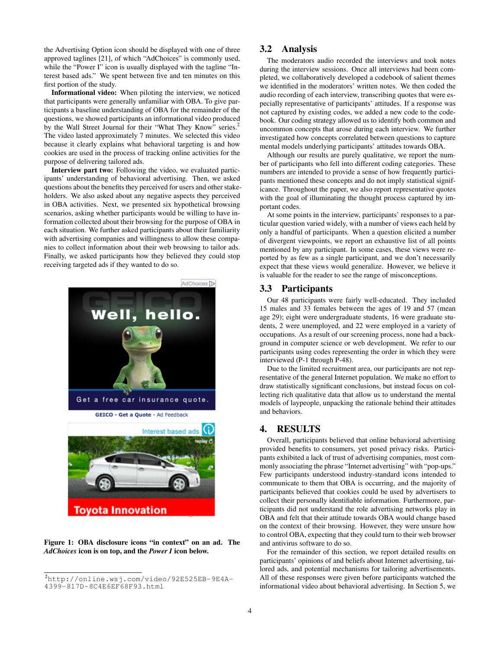the Advertising Option icon should be displayed with one of three approved taglines [\[21\]](#page-12-21), of which "AdChoices" is commonly used, while the "Power I" icon is usually displayed with the tagline "Interest based ads." We spent between five and ten minutes on this first portion of the study.

Informational video: When piloting the interview, we noticed that participants were generally unfamiliar with OBA. To give participants a baseline understanding of OBA for the remainder of the questions, we showed participants an informational video produced by the Wall Street Journal for their "What They Know" series.<sup>[2](#page-4-2)</sup> The video lasted approximately 7 minutes. We selected this video because it clearly explains what behavioral targeting is and how cookies are used in the process of tracking online activities for the purpose of delivering tailored ads.

Interview part two: Following the video, we evaluated participants' understanding of behavioral advertising. Then, we asked questions about the benefits they perceived for users and other stakeholders. We also asked about any negative aspects they perceived in OBA activities. Next, we presented six hypothetical browsing scenarios, asking whether participants would be willing to have information collected about their browsing for the purpose of OBA in each situation. We further asked participants about their familiarity with advertising companies and willingness to allow these companies to collect information about their web browsing to tailor ads. Finally, we asked participants how they believed they could stop receiving targeted ads if they wanted to do so.



<span id="page-4-1"></span>Figure 1: OBA disclosure icons "in context" on an ad. The *AdChoices* icon is on top, and the *Power I* icon below.

#### 3.2 Analysis

The moderators audio recorded the interviews and took notes during the interview sessions. Once all interviews had been completed, we collaboratively developed a codebook of salient themes we identified in the moderators' written notes. We then coded the audio recording of each interview, transcribing quotes that were especially representative of participants' attitudes. If a response was not captured by existing codes, we added a new code to the codebook. Our coding strategy allowed us to identify both common and uncommon concepts that arose during each interview. We further investigated how concepts correlated between questions to capture mental models underlying participants' attitudes towards OBA.

Although our results are purely qualitative, we report the number of participants who fell into different coding categories. These numbers are intended to provide a sense of how frequently participants mentioned these concepts and do not imply statistical significance. Throughout the paper, we also report representative quotes with the goal of illuminating the thought process captured by important codes.

At some points in the interview, participants' responses to a particular question varied widely, with a number of views each held by only a handful of participants. When a question elicited a number of divergent viewpoints, we report an exhaustive list of all points mentioned by any participant. In some cases, these views were reported by as few as a single participant, and we don't necessarily expect that these views would generalize. However, we believe it is valuable for the reader to see the range of misconceptions.

#### 3.3 Participants

Our 48 participants were fairly well-educated. They included 15 males and 33 females between the ages of 19 and 57 (mean age 29); eight were undergraduate students, 16 were graduate students, 2 were unemployed, and 22 were employed in a variety of occupations. As a result of our screening process, none had a background in computer science or web development. We refer to our participants using codes representing the order in which they were interviewed (P-1 through P-48).

Due to the limited recruitment area, our participants are not representative of the general Internet population. We make no effort to draw statistically significant conclusions, but instead focus on collecting rich qualitative data that allow us to understand the mental models of laypeople, unpacking the rationale behind their attitudes and behaviors.

#### <span id="page-4-0"></span>4. RESULTS

Overall, participants believed that online behavioral advertising provided benefits to consumers, yet posed privacy risks. Participants exhibited a lack of trust of advertising companies, most commonly associating the phrase "Internet advertising" with "pop-ups." Few participants understood industry-standard icons intended to communicate to them that OBA is occurring, and the majority of participants believed that cookies could be used by advertisers to collect their personally identifiable information. Furthermore, participants did not understand the role advertising networks play in OBA and felt that their attitude towards OBA would change based on the context of their browsing. However, they were unsure how to control OBA, expecting that they could turn to their web browser and antivirus software to do so.

For the remainder of this section, we report detailed results on participants' opinions of and beliefs about Internet advertising, tailored ads, and potential mechanisms for tailoring advertisements. All of these responses were given before participants watched the informational video about behavioral advertising. In Section [5,](#page-6-0) we

<span id="page-4-2"></span><sup>2</sup>[http://online.wsj.com/video/92E525EB-9E4A-](http://online.wsj.com/video/92E525EB-9E4A-4399-817D-8C4E6EF68F93.html)[4399-817D-8C4E6EF68F93.html](http://online.wsj.com/video/92E525EB-9E4A-4399-817D-8C4E6EF68F93.html)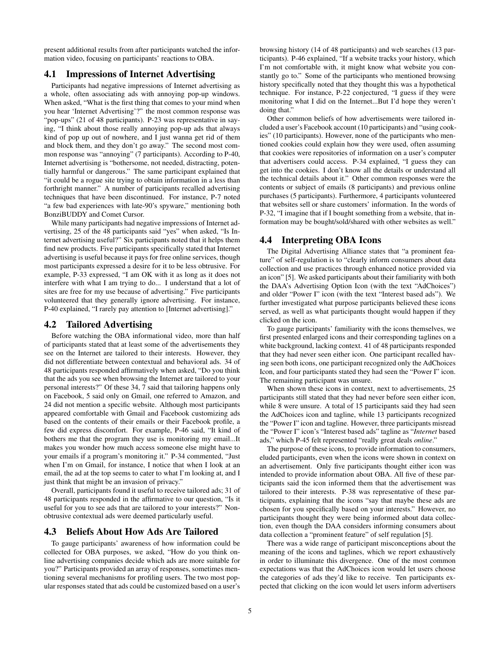present additional results from after participants watched the information video, focusing on participants' reactions to OBA.

## 4.1 Impressions of Internet Advertising

Participants had negative impressions of Internet advertising as a whole, often associating ads with annoying pop-up windows. When asked, "What is the first thing that comes to your mind when you hear 'Internet Advertising'?" the most common response was "pop-ups" (21 of 48 participants). P-23 was representative in saying, "I think about those really annoying pop-up ads that always kind of pop up out of nowhere, and I just wanna get rid of them and block them, and they don't go away." The second most common response was "annoying" (7 participants). According to P-40, Internet advertising is "bothersome, not needed, distracting, potentially harmful or dangerous." The same participant explained that "it could be a rogue site trying to obtain information in a less than forthright manner." A number of participants recalled advertising techniques that have been discontinued. For instance, P-7 noted "a few bad experiences with late-90's spyware," mentioning both BonziBUDDY and Comet Cursor.

While many participants had negative impressions of Internet advertising, 25 of the 48 participants said "yes" when asked, "Is Internet advertising useful?" Six participants noted that it helps them find new products. Five participants specifically stated that Internet advertising is useful because it pays for free online services, though most participants expressed a desire for it to be less obtrusive. For example, P-33 expressed, "I am OK with it as long as it does not interfere with what I am trying to do... I understand that a lot of sites are free for my use because of advertising." Five participants volunteered that they generally ignore advertising. For instance, P-40 explained, "I rarely pay attention to [Internet advertising]."

#### 4.2 Tailored Advertising

Before watching the OBA informational video, more than half of participants stated that at least some of the advertisements they see on the Internet are tailored to their interests. However, they did not differentiate between contextual and behavioral ads. 34 of 48 participants responded affirmatively when asked, "Do you think that the ads you see when browsing the Internet are tailored to your personal interests?" Of these 34, 7 said that tailoring happens only on Facebook, 5 said only on Gmail, one referred to Amazon, and 24 did not mention a specific website. Although most participants appeared comfortable with Gmail and Facebook customizing ads based on the contents of their emails or their Facebook profile, a few did express discomfort. For example, P-46 said, "It kind of bothers me that the program they use is monitoring my email...It makes you wonder how much access someone else might have to your emails if a program's monitoring it." P-34 commented, "Just when I'm on Gmail, for instance, I notice that when I look at an email, the ad at the top seems to cater to what I'm looking at, and I just think that might be an invasion of privacy."

Overall, participants found it useful to receive tailored ads; 31 of 48 participants responded in the affirmative to our question, "Is it useful for you to see ads that are tailored to your interests?" Nonobtrusive contextual ads were deemed particularly useful.

## 4.3 Beliefs About How Ads Are Tailored

To gauge participants' awareness of how information could be collected for OBA purposes, we asked, "How do you think online advertising companies decide which ads are more suitable for you?" Participants provided an array of responses, sometimes mentioning several mechanisms for profiling users. The two most popular responses stated that ads could be customized based on a user's browsing history (14 of 48 participants) and web searches (13 participants). P-46 explained, "If a website tracks your history, which I'm not comfortable with, it might know what website you constantly go to." Some of the participants who mentioned browsing history specifically noted that they thought this was a hypothetical technique. For instance, P-22 conjectured, "I guess if they were monitoring what I did on the Internet...But I'd hope they weren't doing that."

Other common beliefs of how advertisements were tailored included a user's Facebook account (10 participants) and "using cookies" (10 participants). However, none of the participants who mentioned cookies could explain how they were used, often assuming that cookies were repositories of information on a user's computer that advertisers could access. P-34 explained, "I guess they can get into the cookies. I don't know all the details or understand all the technical details about it." Other common responses were the contents or subject of emails (8 participants) and previous online purchases (5 participants). Furthermore, 4 participants volunteered that websites sell or share customers' information. In the words of P-32, "I imagine that if I bought something from a website, that information may be bought/sold/shared with other websites as well."

#### 4.4 Interpreting OBA Icons

The Digital Advertising Alliance states that "a prominent feature" of self-regulation is to "clearly inform consumers about data collection and use practices through enhanced notice provided via an icon" [\[5\]](#page-11-7). We asked participants about their familiarity with both the DAA's Advertising Option Icon (with the text "AdChoices") and older "Power I" icon (with the text "Interest based ads"). We further investigated what purpose participants believed these icons served, as well as what participants thought would happen if they clicked on the icon.

To gauge participants' familiarity with the icons themselves, we first presented enlarged icons and their corresponding taglines on a white background, lacking context. 41 of 48 participants responded that they had never seen either icon. One participant recalled having seen both icons, one participant recognized only the AdChoices Icon, and four participants stated they had seen the "Power I" icon. The remaining participant was unsure.

When shown these icons in context, next to advertisements, 25 participants still stated that they had never before seen either icon, while 8 were unsure. A total of 15 participants said they had seen the AdChoices icon and tagline, while 13 participants recognized the "Power I" icon and tagline. However, three participants misread the "Power I" icon's "Interest based ads" tagline as "*Internet* based ads," which P-45 felt represented "really great deals *online*."

The purpose of these icons, to provide information to consumers, eluded participants, even when the icons were shown in context on an advertisement. Only five participants thought either icon was intended to provide information about OBA. All five of these participants said the icon informed them that the advertisement was tailored to their interests. P-38 was representative of these participants, explaining that the icons "say that maybe these ads are chosen for you specifically based on your interests." However, no participants thought they were being informed about data collection, even though the DAA considers informing consumers about data collection a "prominent feature" of self regulation [\[5\]](#page-11-7).

There was a wide range of participant misconceptions about the meaning of the icons and taglines, which we report exhaustively in order to illuminate this divergence. One of the most common expectations was that the AdChoices icon would let users choose the categories of ads they'd like to receive. Ten participants expected that clicking on the icon would let users inform advertisers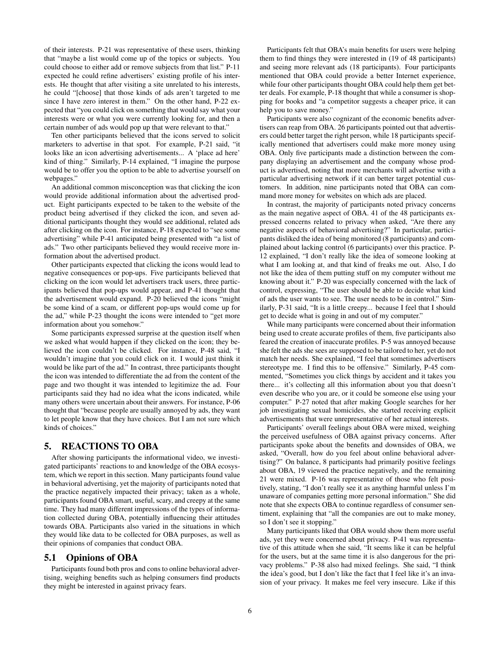of their interests. P-21 was representative of these users, thinking that "maybe a list would come up of the topics or subjects. You could choose to either add or remove subjects from that list." P-11 expected he could refine advertisers' existing profile of his interests. He thought that after visiting a site unrelated to his interests, he could "[choose] that those kinds of ads aren't targeted to me since I have zero interest in them." On the other hand, P-22 expected that "you could click on something that would say what your interests were or what you were currently looking for, and then a certain number of ads would pop up that were relevant to that."

Ten other participants believed that the icons served to solicit marketers to advertise in that spot. For example, P-21 said, "it looks like an icon advertising advertisements... A 'place ad here' kind of thing." Similarly, P-14 explained, "I imagine the purpose would be to offer you the option to be able to advertise yourself on webpages."

An additional common misconception was that clicking the icon would provide additional information about the advertised product. Eight participants expected to be taken to the website of the product being advertised if they clicked the icon, and seven additional participants thought they would see additional, related ads after clicking on the icon. For instance, P-18 expected to "see some advertising" while P-41 anticipated being presented with "a list of ads." Two other participants believed they would receive more information about the advertised product.

Other participants expected that clicking the icons would lead to negative consequences or pop-ups. Five participants believed that clicking on the icon would let advertisers track users, three participants believed that pop-ups would appear, and P-41 thought that the advertisement would expand. P-20 believed the icons "might be some kind of a scam, or different pop-ups would come up for the ad," while P-23 thought the icons were intended to "get more information about you somehow."

Some participants expressed surprise at the question itself when we asked what would happen if they clicked on the icon; they believed the icon couldn't be clicked. For instance, P-48 said, "I wouldn't imagine that you could click on it. I would just think it would be like part of the ad." In contrast, three participants thought the icon was intended to differentiate the ad from the content of the page and two thought it was intended to legitimize the ad. Four participants said they had no idea what the icons indicated, while many others were uncertain about their answers. For instance, P-06 thought that "because people are usually annoyed by ads, they want to let people know that they have choices. But I am not sure which kinds of choices."

## <span id="page-6-0"></span>5. REACTIONS TO OBA

After showing participants the informational video, we investigated participants' reactions to and knowledge of the OBA ecosystem, which we report in this section. Many participants found value in behavioral advertising, yet the majority of participants noted that the practice negatively impacted their privacy; taken as a whole, participants found OBA smart, useful, scary, and creepy at the same time. They had many different impressions of the types of information collected during OBA, potentially influencing their attitudes towards OBA. Participants also varied in the situations in which they would like data to be collected for OBA purposes, as well as their opinions of companies that conduct OBA.

#### 5.1 Opinions of OBA

Participants found both pros and cons to online behavioral advertising, weighing benefits such as helping consumers find products they might be interested in against privacy fears.

Participants felt that OBA's main benefits for users were helping them to find things they were interested in (19 of 48 participants) and seeing more relevant ads (18 participants). Four participants mentioned that OBA could provide a better Internet experience, while four other participants thought OBA could help them get better deals. For example, P-18 thought that while a consumer is shopping for books and "a competitor suggests a cheaper price, it can help you to save money."

Participants were also cognizant of the economic benefits advertisers can reap from OBA. 26 participants pointed out that advertisers could better target the right person, while 18 participants specifically mentioned that advertisers could make more money using OBA. Only five participants made a distinction between the company displaying an advertisement and the company whose product is advertised, noting that more merchants will advertise with a particular advertising network if it can better target potential customers. In addition, nine participants noted that OBA can command more money for websites on which ads are placed.

In contrast, the majority of participants noted privacy concerns as the main negative aspect of OBA. 41 of the 48 participants expressed concerns related to privacy when asked, "Are there any negative aspects of behavioral advertising?" In particular, participants disliked the idea of being monitored (8 participants) and complained about lacking control (6 participants) over this practice. P-12 explained, "I don't really like the idea of someone looking at what I am looking at, and that kind of freaks me out. Also, I do not like the idea of them putting stuff on my computer without me knowing about it." P-20 was especially concerned with the lack of control, expressing, "The user should be able to decide what kind of ads the user wants to see. The user needs to be in control." Similarly, P-31 said, "It is a little creepy... because I feel that I should get to decide what is going in and out of my computer."

While many participants were concerned about their information being used to create accurate profiles of them, five participants also feared the creation of inaccurate profiles. P-5 was annoyed because she felt the ads she sees are supposed to be tailored to her, yet do not match her needs. She explained, "I feel that sometimes advertisers stereotype me. I find this to be offensive." Similarly, P-45 commented, "Sometimes you click things by accident and it takes you there... it's collecting all this information about you that doesn't even describe who you are, or it could be someone else using your computer." P-27 noted that after making Google searches for her job investigating sexual homicides, she started receiving explicit advertisements that were unrepresentative of her actual interests.

Participants' overall feelings about OBA were mixed, weighing the perceived usefulness of OBA against privacy concerns. After participants spoke about the benefits and downsides of OBA, we asked, "Overall, how do you feel about online behavioral advertising?" On balance, 8 participants had primarily positive feelings about OBA, 19 viewed the practice negatively, and the remaining 21 were mixed. P-16 was representative of those who felt positively, stating, "I don't really see it as anything harmful unless I'm unaware of companies getting more personal information." She did note that she expects OBA to continue regardless of consumer sentiment, explaining that "all the companies are out to make money, so I don't see it stopping."

Many participants liked that OBA would show them more useful ads, yet they were concerned about privacy. P-41 was representative of this attitude when she said, "It seems like it can be helpful for the users, but at the same time it is also dangerous for the privacy problems." P-38 also had mixed feelings. She said, "I think the idea's good, but I don't like the fact that I feel like it's an invasion of your privacy. It makes me feel very insecure. Like if this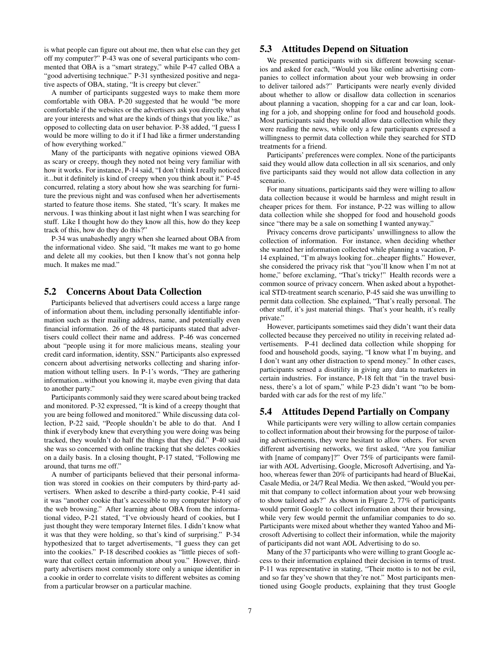is what people can figure out about me, then what else can they get off my computer?" P-43 was one of several participants who commented that OBA is a "smart strategy," while P-47 called OBA a "good advertising technique." P-31 synthesized positive and negative aspects of OBA, stating, "It is creepy but clever."

A number of participants suggested ways to make them more comfortable with OBA. P-20 suggested that he would "be more comfortable if the websites or the advertisers ask you directly what are your interests and what are the kinds of things that you like," as opposed to collecting data on user behavior. P-38 added, "I guess I would be more willing to do it if I had like a firmer understanding of how everything worked."

Many of the participants with negative opinions viewed OBA as scary or creepy, though they noted not being very familiar with how it works. For instance, P-14 said, "I don't think I really noticed it...but it definitely is kind of creepy when you think about it." P-45 concurred, relating a story about how she was searching for furniture the previous night and was confused when her advertisements started to feature those items. She stated, "It's scary. It makes me nervous. I was thinking about it last night when I was searching for stuff. Like I thought how do they know all this, how do they keep track of this, how do they do this?"

P-34 was unabashedly angry when she learned about OBA from the informational video. She said, "It makes me want to go home and delete all my cookies, but then I know that's not gonna help much. It makes me mad."

#### 5.2 Concerns About Data Collection

Participants believed that advertisers could access a large range of information about them, including personally identifiable information such as their mailing address, name, and potentially even financial information. 26 of the 48 participants stated that advertisers could collect their name and address. P-46 was concerned about "people using it for more malicious means, stealing your credit card information, identity, SSN." Participants also expressed concern about advertising networks collecting and sharing information without telling users. In P-1's words, "They are gathering information...without you knowing it, maybe even giving that data to another party."

Participants commonly said they were scared about being tracked and monitored. P-32 expressed, "It is kind of a creepy thought that you are being followed and monitored." While discussing data collection, P-22 said, "People shouldn't be able to do that. And I think if everybody knew that everything you were doing was being tracked, they wouldn't do half the things that they did." P-40 said she was so concerned with online tracking that she deletes cookies on a daily basis. In a closing thought, P-17 stated, "Following me around, that turns me off."

A number of participants believed that their personal information was stored in cookies on their computers by third-party advertisers. When asked to describe a third-party cookie, P-41 said it was "another cookie that's accessible to my computer history of the web browsing." After learning about OBA from the informational video, P-21 stated, "I've obviously heard of cookies, but I just thought they were temporary Internet files. I didn't know what it was that they were holding, so that's kind of surprising." P-34 hypothesized that to target advertisements, "I guess they can get into the cookies." P-18 described cookies as "little pieces of software that collect certain information about you." However, thirdparty advertisers most commonly store only a unique identifier in a cookie in order to correlate visits to different websites as coming from a particular browser on a particular machine.

## 5.3 Attitudes Depend on Situation

We presented participants with six different browsing scenarios and asked for each, "Would you like online advertising companies to collect information about your web browsing in order to deliver tailored ads?" Participants were nearly evenly divided about whether to allow or disallow data collection in scenarios about planning a vacation, shopping for a car and car loan, looking for a job, and shopping online for food and household goods. Most participants said they would allow data collection while they were reading the news, while only a few participants expressed a willingness to permit data collection while they searched for STD treatments for a friend.

Participants' preferences were complex. None of the participants said they would allow data collection in all six scenarios, and only five participants said they would not allow data collection in any scenario.

For many situations, participants said they were willing to allow data collection because it would be harmless and might result in cheaper prices for them. For instance, P-22 was willing to allow data collection while she shopped for food and household goods since "there may be a sale on something I wanted anyway."

Privacy concerns drove participants' unwillingness to allow the collection of information. For instance, when deciding whether she wanted her information collected while planning a vacation, P-14 explained, "I'm always looking for...cheaper flights." However, she considered the privacy risk that "you'll know when I'm not at home," before exclaming, "That's tricky!" Health records were a common source of privacy concern. When asked about a hypothetical STD-treatment search scenario, P-45 said she was unwilling to permit data collection. She explained, "That's really personal. The other stuff, it's just material things. That's your health, it's really private."

However, participants sometimes said they didn't want their data collected because they perceived no utility in receiving related advertisements. P-41 declined data collection while shopping for food and household goods, saying, "I know what I'm buying, and I don't want any other distraction to spend money." In other cases, participants sensed a disutility in giving any data to marketers in certain industries. For instance, P-18 felt that "in the travel business, there's a lot of spam," while P-23 didn't want "to be bombarded with car ads for the rest of my life."

#### 5.4 Attitudes Depend Partially on Company

While participants were very willing to allow certain companies to collect information about their browsing for the purpose of tailoring advertisements, they were hesitant to allow others. For seven different advertising networks, we first asked, "Are you familiar with [name of company]?" Over 75% of participants were familiar with AOL Advertising, Google, Microsoft Advertising, and Yahoo, whereas fewer than 20% of participants had heard of BlueKai, Casale Media, or 24/7 Real Media. We then asked, "Would you permit that company to collect information about your web browsing to show tailored ads?" As shown in Figure [2,](#page-8-0) 77% of participants would permit Google to collect information about their browsing, while very few would permit the unfamiliar companies to do so. Participants were mixed about whether they wanted Yahoo and Microsoft Advertising to collect their information, while the majority of participants did not want AOL Advertising to do so.

Many of the 37 participants who were willing to grant Google access to their information explained their decision in terms of trust. P-11 was representative in stating, "Their motto is to not be evil, and so far they've shown that they're not." Most participants mentioned using Google products, explaining that they trust Google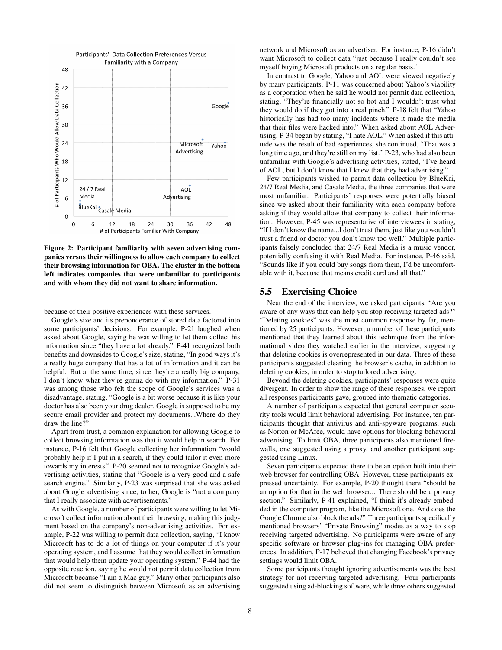

<span id="page-8-0"></span>Figure 2: Participant familiarity with seven advertising companies versus their willingness to allow each company to collect their browsing information for OBA. The cluster in the bottom left indicates companies that were unfamiliar to participants and with whom they did not want to share information.

because of their positive experiences with these services.

Google's size and its preponderance of stored data factored into some participants' decisions. For example, P-21 laughed when asked about Google, saying he was willing to let them collect his information since "they have a lot already." P-41 recognized both benefits and downsides to Google's size, stating, "In good ways it's a really huge company that has a lot of information and it can be helpful. But at the same time, since they're a really big company, I don't know what they're gonna do with my information." P-31 was among those who felt the scope of Google's services was a disadvantage, stating, "Google is a bit worse because it is like your doctor has also been your drug dealer. Google is supposed to be my secure email provider and protect my documents...Where do they draw the line?"

Apart from trust, a common explanation for allowing Google to collect browsing information was that it would help in search. For instance, P-16 felt that Google collecting her information "would probably help if I put in a search, if they could tailor it even more towards my interests." P-20 seemed not to recognize Google's advertising activities, stating that "Google is a very good and a safe search engine." Similarly, P-23 was surprised that she was asked about Google advertising since, to her, Google is "not a company that I really associate with advertisements."

As with Google, a number of participants were willing to let Microsoft collect information about their browsing, making this judgment based on the company's non-advertising activities. For example, P-22 was willing to permit data collection, saying, "I know Microsoft has to do a lot of things on your computer if it's your operating system, and I assume that they would collect information that would help them update your operating system." P-44 had the opposite reaction, saying he would not permit data collection from Microsoft because "I am a Mac guy." Many other participants also did not seem to distinguish between Microsoft as an advertising network and Microsoft as an advertiser. For instance, P-16 didn't want Microsoft to collect data "just because I really couldn't see myself buying Microsoft products on a regular basis."

In contrast to Google, Yahoo and AOL were viewed negatively by many participants. P-11 was concerned about Yahoo's viability as a corporation when he said he would not permit data collection, stating, "They're financially not so hot and I wouldn't trust what they would do if they got into a real pinch." P-18 felt that "Yahoo historically has had too many incidents where it made the media that their files were hacked into." When asked about AOL Advertising, P-34 began by stating, "I hate AOL." When asked if this attitude was the result of bad experiences, she continued, "That was a long time ago, and they're still on my list." P-23, who had also been unfamiliar with Google's advertising activities, stated, "I've heard of AOL, but I don't know that I knew that they had advertising."

Few participants wished to permit data collection by BlueKai, 24/7 Real Media, and Casale Media, the three companies that were most unfamiliar. Participants' responses were potentially biased since we asked about their familiarity with each company before asking if they would allow that company to collect their information. However, P-45 was representative of interviewees in stating, "If I don't know the name...I don't trust them, just like you wouldn't trust a friend or doctor you don't know too well." Multiple participants falsely concluded that 24/7 Real Media is a music vendor, potentially confusing it with Real Media. For instance, P-46 said, "Sounds like if you could buy songs from them, I'd be uncomfortable with it, because that means credit card and all that."

#### 5.5 Exercising Choice

Near the end of the interview, we asked participants, "Are you aware of any ways that can help you stop receiving targeted ads?" "Deleting cookies" was the most common response by far, mentioned by 25 participants. However, a number of these participants mentioned that they learned about this technique from the informational video they watched earlier in the interview, suggesting that deleting cookies is overrepresented in our data. Three of these participants suggested clearing the browser's cache, in addition to deleting cookies, in order to stop tailored advertising.

Beyond the deleting cookies, participants' responses were quite divergent. In order to show the range of these responses, we report all responses participants gave, grouped into thematic categories.

A number of participants expected that general computer security tools would limit behavioral advertising. For instance, ten participants thought that antivirus and anti-spyware programs, such as Norton or McAfee, would have options for blocking behavioral advertising. To limit OBA, three participants also mentioned firewalls, one suggested using a proxy, and another participant suggested using Linux.

Seven participants expected there to be an option built into their web browser for controlling OBA. However, these participants expressed uncertainty. For example, P-20 thought there "should be an option for that in the web browser... There should be a privacy section." Similarly, P-41 explained, "I think it's already embedded in the computer program, like the Microsoft one. And does the Google Chrome also block the ads?" Three participants specifically mentioned browsers' "Private Browsing" modes as a way to stop receiving targeted advertising. No participants were aware of any specific software or browser plug-ins for managing OBA preferences. In addition, P-17 believed that changing Facebook's privacy settings would limit OBA.

Some participants thought ignoring advertisements was the best strategy for not receiving targeted advertising. Four participants suggested using ad-blocking software, while three others suggested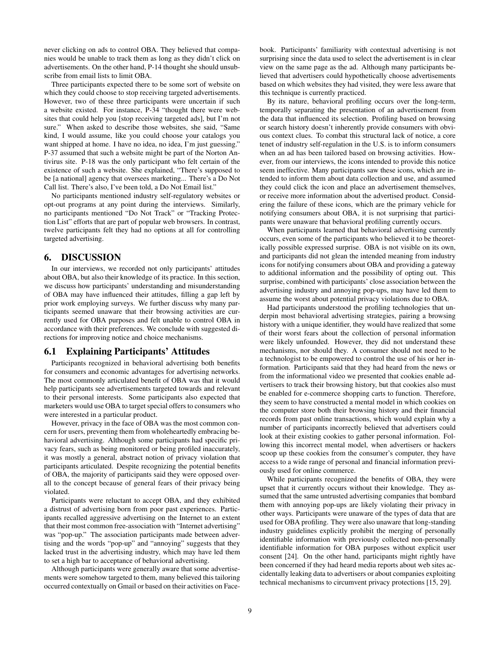never clicking on ads to control OBA. They believed that companies would be unable to track them as long as they didn't click on advertisements. On the other hand, P-14 thought she should unsubscribe from email lists to limit OBA.

Three participants expected there to be some sort of website on which they could choose to stop receiving targeted advertisements. However, two of these three participants were uncertain if such a website existed. For instance, P-34 "thought there were websites that could help you [stop receiving targeted ads], but I'm not sure." When asked to describe those websites, she said, "Same kind, I would assume, like you could choose your catalogs you want shipped at home. I have no idea, no idea, I'm just guessing." P-37 assumed that such a website might be part of the Norton Antivirus site. P-18 was the only participant who felt certain of the existence of such a website. She explained, "There's supposed to be [a national] agency that oversees marketing... There's a Do Not Call list. There's also, I've been told, a Do Not Email list."

No participants mentioned industry self-regulatory websites or opt-out programs at any point during the interviews. Similarly, no participants mentioned "Do Not Track" or "Tracking Protection List" efforts that are part of popular web browsers. In contrast, twelve participants felt they had no options at all for controlling targeted advertising.

## <span id="page-9-0"></span>6. DISCUSSION

In our interviews, we recorded not only participants' attitudes about OBA, but also their knowledge of its practice. In this section, we discuss how participants' understanding and misunderstanding of OBA may have influenced their attitudes, filling a gap left by prior work employing surveys. We further discuss why many participants seemed unaware that their browsing activities are currently used for OBA purposes and felt unable to control OBA in accordance with their preferences. We conclude with suggested directions for improving notice and choice mechanisms.

#### 6.1 Explaining Participants' Attitudes

Participants recognized in behavioral advertising both benefits for consumers and economic advantages for advertising networks. The most commonly articulated benefit of OBA was that it would help participants see advertisements targeted towards and relevant to their personal interests. Some participants also expected that marketers would use OBA to target special offers to consumers who were interested in a particular product.

However, privacy in the face of OBA was the most common concern for users, preventing them from wholeheartedly embracing behavioral advertising. Although some participants had specific privacy fears, such as being monitored or being profiled inaccurately, it was mostly a general, abstract notion of privacy violation that participants articulated. Despite recognizing the potential benefits of OBA, the majority of participants said they were opposed overall to the concept because of general fears of their privacy being violated.

Participants were reluctant to accept OBA, and they exhibited a distrust of advertising born from poor past experiences. Participants recalled aggressive advertising on the Internet to an extent that their most common free-association with "Internet advertising" was "pop-up." The association participants made between advertising and the words "pop-up" and "annoying" suggests that they lacked trust in the advertising industry, which may have led them to set a high bar to acceptance of behavioral advertising.

Although participants were generally aware that some advertisements were somehow targeted to them, many believed this tailoring occurred contextually on Gmail or based on their activities on Facebook. Participants' familiarity with contextual advertising is not surprising since the data used to select the advertisement is in clear view on the same page as the ad. Although many participants believed that advertisers could hypothetically choose advertisements based on which websites they had visited, they were less aware that this technique is currently practiced.

By its nature, behavioral profiling occurs over the long-term, temporally separating the presentation of an advertisement from the data that influenced its selection. Profiling based on browsing or search history doesn't inherently provide consumers with obvious context clues. To combat this structural lack of notice, a core tenet of industry self-regulation in the U.S. is to inform consumers when an ad has been tailored based on browsing activities. However, from our interviews, the icons intended to provide this notice seem ineffective. Many participants saw these icons, which are intended to inform them about data collection and use, and assumed they could click the icon and place an advertisement themselves, or receive more information about the advertised product. Considering the failure of these icons, which are the primary vehicle for notifying consumers about OBA, it is not surprising that participants were unaware that behavioral profiling currently occurs.

When participants learned that behavioral advertising currently occurs, even some of the participants who believed it to be theoretically possible expressed surprise. OBA is not visible on its own, and participants did not glean the intended meaning from industry icons for notifying consumers about OBA and providing a gateway to additional information and the possibility of opting out. This surprise, combined with participants' close association between the advertising industry and annoying pop-ups, may have led them to assume the worst about potential privacy violations due to OBA.

Had participants understood the profiling technologies that underpin most behavioral advertising strategies, pairing a browsing history with a unique identifier, they would have realized that some of their worst fears about the collection of personal information were likely unfounded. However, they did not understand these mechanisms, nor should they. A consumer should not need to be a technologist to be empowered to control the use of his or her information. Participants said that they had heard from the news or from the informational video we presented that cookies enable advertisers to track their browsing history, but that cookies also must be enabled for e-commerce shopping carts to function. Therefore, they seem to have constructed a mental model in which cookies on the computer store both their browsing history and their financial records from past online transactions, which would explain why a number of participants incorrectly believed that advertisers could look at their existing cookies to gather personal information. Following this incorrect mental model, when advertisers or hackers scoop up these cookies from the consumer's computer, they have access to a wide range of personal and financial information previously used for online commerce.

While participants recognized the benefits of OBA, they were upset that it currently occurs without their knowledge. They assumed that the same untrusted advertising companies that bombard them with annoying pop-ups are likely violating their privacy in other ways. Participants were unaware of the types of data that are used for OBA profiling. They were also unaware that long-standing industry guidelines explicitly prohibit the merging of personally identifiable information with previously collected non-personally identifiable information for OBA purposes without explicit user consent [\[24\]](#page-12-11). On the other hand, participants might rightly have been concerned if they had heard media reports about web sites accidentally leaking data to advertisers or about companies exploiting technical mechanisms to circumvent privacy protections [\[15,](#page-12-7) [29\]](#page-12-22).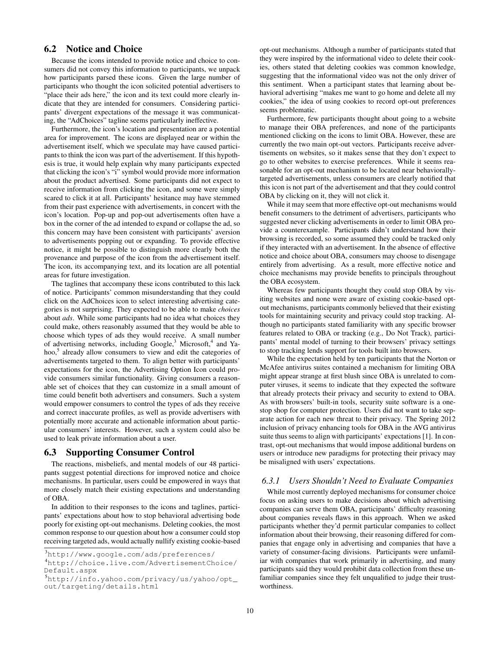## 6.2 Notice and Choice

Because the icons intended to provide notice and choice to consumers did not convey this information to participants, we unpack how participants parsed these icons. Given the large number of participants who thought the icon solicited potential advertisers to "place their ads here," the icon and its text could more clearly indicate that they are intended for consumers. Considering participants' divergent expectations of the message it was communicating, the "AdChoices" tagline seems particularly ineffective.

Furthermore, the icon's location and presentation are a potential area for improvement. The icons are displayed near or within the advertisement itself, which we speculate may have caused participants to think the icon was part of the advertisement. If this hypothesis is true, it would help explain why many participants expected that clicking the icon's "i" symbol would provide more information about the product advertised. Some participants did not expect to receive information from clicking the icon, and some were simply scared to click it at all. Participants' hesitance may have stemmed from their past experience with advertisements, in concert with the icon's location. Pop-up and pop-out advertisements often have a box in the corner of the ad intended to expand or collapse the ad, so this concern may have been consistent with participants' aversion to advertisements popping out or expanding. To provide effective notice, it might be possible to distinguish more clearly both the provenance and purpose of the icon from the advertisement itself. The icon, its accompanying text, and its location are all potential areas for future investigation.

The taglines that accompany these icons contributed to this lack of notice. Participants' common misunderstanding that they could click on the AdChoices icon to select interesting advertising categories is not surprising. They expected to be able to make *choices* about *ads*. While some participants had no idea what choices they could make, others reasonably assumed that they would be able to choose which types of ads they would receive. A small number of advertising networks, including Google,<sup>[3](#page-10-0)</sup> Microsoft,<sup>[4](#page-10-1)</sup> and Ya-hoo,<sup>[5](#page-10-2)</sup> already allow consumers to view and edit the categories of advertisements targeted to them. To align better with participants' expectations for the icon, the Advertising Option Icon could provide consumers similar functionality. Giving consumers a reasonable set of choices that they can customize in a small amount of time could benefit both advertisers and consumers. Such a system would empower consumers to control the types of ads they receive and correct inaccurate profiles, as well as provide advertisers with potentially more accurate and actionable information about particular consumers' interests. However, such a system could also be used to leak private information about a user.

#### 6.3 Supporting Consumer Control

The reactions, misbeliefs, and mental models of our 48 participants suggest potential directions for improved notice and choice mechanisms. In particular, users could be empowered in ways that more closely match their existing expectations and understanding of OBA.

In addition to their responses to the icons and taglines, participants' expectations about how to stop behavioral advertising bode poorly for existing opt-out mechanisms. Deleting cookies, the most common response to our question about how a consumer could stop receiving targeted ads, would actually nullify existing cookie-based opt-out mechanisms. Although a number of participants stated that they were inspired by the informational video to delete their cookies, others stated that deleting cookies was common knowledge, suggesting that the informational video was not the only driver of this sentiment. When a participant states that learning about behavioral advertising "makes me want to go home and delete all my cookies," the idea of using cookies to record opt-out preferences seems problematic.

Furthermore, few participants thought about going to a website to manage their OBA preferences, and none of the participants mentioned clicking on the icons to limit OBA. However, these are currently the two main opt-out vectors. Participants receive advertisements on websites, so it makes sense that they don't expect to go to other websites to exercise preferences. While it seems reasonable for an opt-out mechanism to be located near behaviorallytargeted advertisements, unless consumers are clearly notified that this icon is not part of the advertisement and that they could control OBA by clicking on it, they will not click it.

While it may seem that more effective opt-out mechanisms would benefit consumers to the detriment of advertisers, participants who suggested never clicking advertisements in order to limit OBA provide a counterexample. Participants didn't understand how their browsing is recorded, so some assumed they could be tracked only if they interacted with an advertisement. In the absence of effective notice and choice about OBA, consumers may choose to disengage entirely from advertising. As a result, more effective notice and choice mechanisms may provide benefits to principals throughout the OBA ecosystem.

Whereas few participants thought they could stop OBA by visiting websites and none were aware of existing cookie-based optout mechanisms, participants commonly believed that their existing tools for maintaining security and privacy could stop tracking. Although no participants stated familiarity with any specific browser features related to OBA or tracking (e.g., Do Not Track), participants' mental model of turning to their browsers' privacy settings to stop tracking lends support for tools built into browsers.

While the expectation held by ten participants that the Norton or McAfee antivirus suites contained a mechanism for limiting OBA might appear strange at first blush since OBA is unrelated to computer viruses, it seems to indicate that they expected the software that already protects their privacy and security to extend to OBA. As with browsers' built-in tools, security suite software is a onestop shop for computer protection. Users did not want to take separate action for each new threat to their privacy. The Spring 2012 inclusion of privacy enhancing tools for OBA in the AVG antivirus suite thus seems to align with participants' expectations [\[1\]](#page-11-8). In contrast, opt-out mechanisms that would impose additional burdens on users or introduce new paradigms for protecting their privacy may be misaligned with users' expectations.

#### *6.3.1 Users Shouldn't Need to Evaluate Companies*

While most currently deployed mechanisms for consumer choice focus on asking users to make decisions about which advertising companies can serve them OBA, participants' difficulty reasoning about companies reveals flaws in this approach. When we asked participants whether they'd permit particular companies to collect information about their browsing, their reasoning differed for companies that engage only in advertising and companies that have a variety of consumer-facing divisions. Participants were unfamiliar with companies that work primarily in advertising, and many participants said they would prohibit data collection from these unfamiliar companies since they felt unqualified to judge their trustworthiness.

<span id="page-10-0"></span><sup>3</sup><http://www.google.com/ads/preferences/>

<span id="page-10-1"></span><sup>4</sup>[http://choice.live.com/AdvertisementChoice/](http://choice.live.com/AdvertisementChoice/Default.aspx) [Default.aspx](http://choice.live.com/AdvertisementChoice/Default.aspx)

<span id="page-10-2"></span><sup>5</sup>[http://info.yahoo.com/privacy/us/yahoo/opt\\_](http://info.yahoo.com/privacy/us/yahoo/opt_out/targeting/details.html) [out/targeting/details.html](http://info.yahoo.com/privacy/us/yahoo/opt_out/targeting/details.html)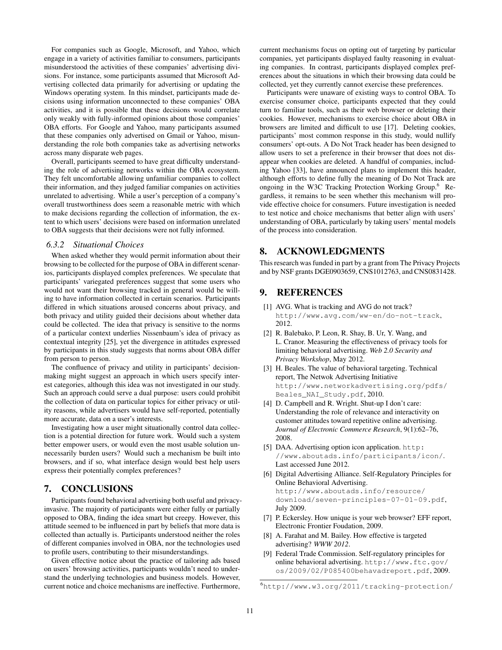For companies such as Google, Microsoft, and Yahoo, which engage in a variety of activities familiar to consumers, participants misunderstood the activities of these companies' advertising divisions. For instance, some participants assumed that Microsoft Advertising collected data primarily for advertising or updating the Windows operating system. In this mindset, participants made decisions using information unconnected to these companies' OBA activities, and it is possible that these decisions would correlate only weakly with fully-informed opinions about those companies' OBA efforts. For Google and Yahoo, many participants assumed that these companies only advertised on Gmail or Yahoo, misunderstanding the role both companies take as advertising networks across many disparate web pages.

Overall, participants seemed to have great difficulty understanding the role of advertising networks within the OBA ecosystem. They felt uncomfortable allowing unfamiliar companies to collect their information, and they judged familiar companies on activities unrelated to advertising. While a user's perception of a company's overall trustworthiness does seem a reasonable metric with which to make decisions regarding the collection of information, the extent to which users' decisions were based on information unrelated to OBA suggests that their decisions were not fully informed.

#### *6.3.2 Situational Choices*

When asked whether they would permit information about their browsing to be collected for the purpose of OBA in different scenarios, participants displayed complex preferences. We speculate that participants' variegated preferences suggest that some users who would not want their browsing tracked in general would be willing to have information collected in certain scenarios. Participants differed in which situations aroused concerns about privacy, and both privacy and utility guided their decisions about whether data could be collected. The idea that privacy is sensitive to the norms of a particular context underlies Nissenbaum's idea of privacy as contextual integrity [\[25\]](#page-12-23), yet the divergence in attitudes expressed by participants in this study suggests that norms about OBA differ from person to person.

The confluence of privacy and utility in participants' decisionmaking might suggest an approach in which users specify interest categories, although this idea was not investigated in our study. Such an approach could serve a dual purpose: users could prohibit the collection of data on particular topics for either privacy or utility reasons, while advertisers would have self-reported, potentially more accurate, data on a user's interests.

Investigating how a user might situationally control data collection is a potential direction for future work. Would such a system better empower users, or would even the most usable solution unnecessarily burden users? Would such a mechanism be built into browsers, and if so, what interface design would best help users express their potentially complex preferences?

#### 7. CONCLUSIONS

Participants found behavioral advertising both useful and privacyinvasive. The majority of participants were either fully or partially opposed to OBA, finding the idea smart but creepy. However, this attitude seemed to be influenced in part by beliefs that more data is collected than actually is. Participants understood neither the roles of different companies involved in OBA, nor the technologies used to profile users, contributing to their misunderstandings.

Given effective notice about the practice of tailoring ads based on users' browsing activities, participants wouldn't need to understand the underlying technologies and business models. However, current notice and choice mechanisms are ineffective. Furthermore,

current mechanisms focus on opting out of targeting by particular companies, yet participants displayed faulty reasoning in evaluating companies. In contrast, participants displayed complex preferences about the situations in which their browsing data could be collected, yet they currently cannot exercise these preferences.

Participants were unaware of existing ways to control OBA. To exercise consumer choice, participants expected that they could turn to familiar tools, such as their web browser or deleting their cookies. However, mechanisms to exercise choice about OBA in browsers are limited and difficult to use [\[17\]](#page-12-20). Deleting cookies, participants' most common response in this study, would nullify consumers' opt-outs. A Do Not Track header has been designed to allow users to set a preference in their browser that does not disappear when cookies are deleted. A handful of companies, including Yahoo [\[33\]](#page-12-24), have announced plans to implement this header, although efforts to define fully the meaning of Do Not Track are ongoing in the W3C Tracking Protection Working Group.<sup>[6](#page-11-9)</sup> Regardless, it remains to be seen whether this mechanism will provide effective choice for consumers. Future investigation is needed to test notice and choice mechanisms that better align with users' understanding of OBA, particularly by taking users' mental models of the process into consideration.

#### 8. ACKNOWLEDGMENTS

This research was funded in part by a grant from The Privacy Projects and by NSF grants DGE0903659, CNS1012763, and CNS0831428.

## 9. REFERENCES

- <span id="page-11-8"></span>[1] AVG. What is tracking and AVG do not track? <http://www.avg.com/ww-en/do-not-track>, 2012.
- <span id="page-11-2"></span>[2] R. Balebako, P. Leon, R. Shay, B. Ur, Y. Wang, and L. Cranor. Measuring the effectiveness of privacy tools for limiting behavioral advertising. *Web 2.0 Security and Privacy Workshop*, May 2012.
- <span id="page-11-0"></span>[3] H. Beales. The value of behavioral targeting. Technical report, The Netwok Advertising Initiative [http://www.networkadvertising.org/pdfs/](http://www.networkadvertising.org/pdfs/Beales_NAI_Study.pdf) [Beales\\_NAI\\_Study.pdf](http://www.networkadvertising.org/pdfs/Beales_NAI_Study.pdf), 2010.
- <span id="page-11-6"></span>[4] D. Campbell and R. Wright. Shut-up I don't care: Understanding the role of relevance and interactivity on customer attitudes toward repetitive online advertising. *Journal of Electronic Commerce Research*, 9(1):62–76, 2008.
- <span id="page-11-7"></span>[5] DAA. Advertising option icon application. [http:](http://www.aboutads.info/participants/icon/) [//www.aboutads.info/participants/icon/](http://www.aboutads.info/participants/icon/). Last accessed June 2012.
- <span id="page-11-5"></span>[6] Digital Advertising Alliance. Self-Regulatory Principles for Online Behavioral Advertising. [http://www.aboutads.info/resource/](http://www.aboutads.info/resource/download/seven-principles-07-01-09.pdf) [download/seven-principles-07-01-09.pdf](http://www.aboutads.info/resource/download/seven-principles-07-01-09.pdf), July 2009.
- <span id="page-11-3"></span>[7] P. Eckersley. How unique is your web browser? EFF report, Electronic Frontier Foudation, 2009.
- <span id="page-11-1"></span>[8] A. Farahat and M. Bailey. How effective is targeted advertising? *WWW 2012*.
- <span id="page-11-4"></span>[9] Federal Trade Commission. Self-regulatory principles for online behavioral advertising. [http://www.ftc.gov/](http://www.ftc.gov/os/2009/02/P085400behavadreport.pdf) [os/2009/02/P085400behavadreport.pdf](http://www.ftc.gov/os/2009/02/P085400behavadreport.pdf), 2009.

<span id="page-11-9"></span><sup>6</sup><http://www.w3.org/2011/tracking-protection/>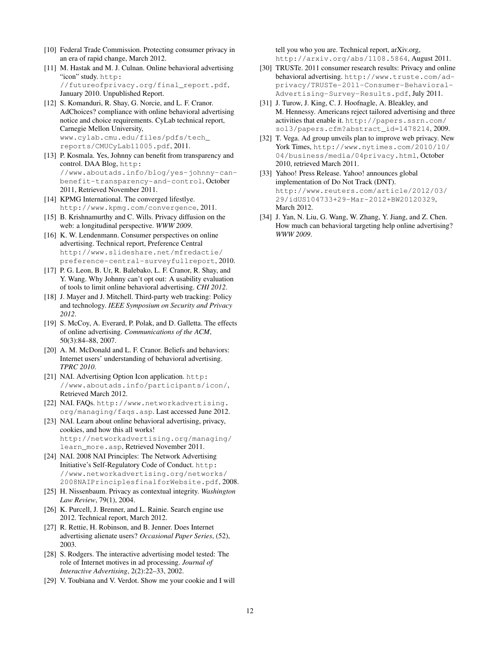- <span id="page-12-5"></span>[10] Federal Trade Commission. Protecting consumer privacy in an era of rapid change, March 2012.
- <span id="page-12-17"></span>[11] M. Hastak and M. J. Culnan. Online behavioral advertising "icon" study. [http:](http://futureofprivacy.org/final_report.pdf) [//futureofprivacy.org/final\\_report.pdf](http://futureofprivacy.org/final_report.pdf), January 2010. Unpublished Report.
- <span id="page-12-13"></span>[12] S. Komanduri, R. Shay, G. Norcie, and L. F. Cranor. AdChoices? compliance with online behavioral advertising notice and choice requirements. CyLab technical report, Carnegie Mellon University, [www.cylab.cmu.edu/files/pdfs/tech\\_](www.cylab.cmu.edu/files/pdfs/tech_reports/CMUCyLab11005.pdf) [reports/CMUCyLab11005.pdf](www.cylab.cmu.edu/files/pdfs/tech_reports/CMUCyLab11005.pdf), 2011.
- <span id="page-12-10"></span>[13] P. Kosmala. Yes, Johnny can benefit from transparency and control. DAA Blog, [http:](http://www.aboutads.info/blog/yes-johnny-can-benefit-transparency-and-control) [//www.aboutads.info/blog/yes-johnny-can](http://www.aboutads.info/blog/yes-johnny-can-benefit-transparency-and-control)[benefit-transparency-and-control](http://www.aboutads.info/blog/yes-johnny-can-benefit-transparency-and-control), October 2011, Retrieved November 2011.
- <span id="page-12-19"></span>[14] KPMG International. The converged lifestlye. <http://www.kpmg.com/convergence>, 2011.
- <span id="page-12-7"></span>[15] B. Krishnamurthy and C. Wills. Privacy diffusion on the web: a longitudinal perspective. *WWW 2009*.
- <span id="page-12-4"></span>[16] K. W. Lendenmann. Consumer perspectives on online advertising. Technical report, Preference Central [http://www.slideshare.net/mfredactie/](http://www.slideshare.net/mfredactie/preference-central-surveyfullreport) [preference-central-surveyfullreport](http://www.slideshare.net/mfredactie/preference-central-surveyfullreport), 2010.
- <span id="page-12-20"></span>[17] P. G. Leon, B. Ur, R. Balebako, L. F. Cranor, R. Shay, and Y. Wang. Why Johnny can't opt out: A usability evaluation of tools to limit online behavioral advertising. *CHI 2012*.
- <span id="page-12-8"></span>[18] J. Mayer and J. Mitchell. Third-party web tracking: Policy and technology. *IEEE Symposium on Security and Privacy 2012*.
- <span id="page-12-16"></span>[19] S. McCoy, A. Everard, P. Polak, and D. Galletta. The effects of online advertising. *Communications of the ACM*, 50(3):84–88, 2007.
- <span id="page-12-1"></span>[20] A. M. McDonald and L. F. Cranor. Beliefs and behaviors: Internet users' understanding of behavioral advertising. *TPRC 2010*.
- <span id="page-12-21"></span>[21] NAI. Advertising Option Icon application. [http:](http://www.aboutads.info/participants/icon/) [//www.aboutads.info/participants/icon/](http://www.aboutads.info/participants/icon/), Retrieved March 2012.
- <span id="page-12-9"></span>[22] NAI. FAQs. [http://www.networkadvertising.](http://www.networkadvertising.org/managing/faqs.asp) [org/managing/faqs.asp](http://www.networkadvertising.org/managing/faqs.asp). Last accessed June 2012.
- <span id="page-12-6"></span>[23] NAI. Learn about online behavioral advertising, privacy, cookies, and how this all works! [http://networkadvertising.org/managing/](http://networkadvertising.org/managing/learn_more.asp) [learn\\_more.asp](http://networkadvertising.org/managing/learn_more.asp), Retrieved November 2011.
- <span id="page-12-11"></span>[24] NAI. 2008 NAI Principles: The Network Advertising Initiative's Self-Regulatory Code of Conduct. [http:](http://www.networkadvertising.org/networks/2008 NAI Principles final for Website.pdf) [//www.networkadvertising.org/networks/](http://www.networkadvertising.org/networks/2008 NAI Principles final for Website.pdf) [2008NAIPrinciplesfinalforWebsite.pdf](http://www.networkadvertising.org/networks/2008 NAI Principles final for Website.pdf), 2008.
- <span id="page-12-23"></span>[25] H. Nissenbaum. Privacy as contextual integrity. *Washington Law Review*, 79(1), 2004.
- <span id="page-12-2"></span>[26] K. Purcell, J. Brenner, and L. Rainie. Search engine use 2012. Technical report, March 2012.
- <span id="page-12-15"></span>[27] R. Rettie, H. Robinson, and B. Jenner. Does Internet advertising alienate users? *Occasional Paper Series*, (52), 2003.
- <span id="page-12-14"></span>[28] S. Rodgers. The interactive advertising model tested: The role of Internet motives in ad processing. *Journal of Interactive Advertising*, 2(2):22–33, 2002.
- <span id="page-12-22"></span>[29] V. Toubiana and V. Verdot. Show me your cookie and I will

tell you who you are. Technical report, arXiv.org, <http://arxiv.org/abs/1108.5864>, August 2011.

- <span id="page-12-18"></span>[30] TRUSTe. 2011 consumer research results: Privacy and online behavioral advertising. [http://www.truste.com/ad](http://www.truste.com/ad-privacy/TRUSTe-2011-Consumer-Behavioral-Advertising-Survey-Results.pdf)[privacy/TRUSTe-2011-Consumer-Behavioral-](http://www.truste.com/ad-privacy/TRUSTe-2011-Consumer-Behavioral-Advertising-Survey-Results.pdf)[Advertising-Survey-Results.pdf](http://www.truste.com/ad-privacy/TRUSTe-2011-Consumer-Behavioral-Advertising-Survey-Results.pdf), July 2011.
- <span id="page-12-3"></span>[31] J. Turow, J. King, C. J. Hoofnagle, A. Bleakley, and M. Hennessy. Americans reject tailored advertising and three activities that enable it. [http://papers.ssrn.com/](http://papers.ssrn.com/sol3/papers.cfm?abstract_id=1478214) [sol3/papers.cfm?abstract\\_id=1478214](http://papers.ssrn.com/sol3/papers.cfm?abstract_id=1478214), 2009.
- <span id="page-12-12"></span>[32] T. Vega. Ad group unveils plan to improve web privacy. New York Times, [http://www.nytimes.com/2010/10/](http://www.nytimes.com/2010/10/04/business/media/04privacy.html) [04/business/media/04privacy.html](http://www.nytimes.com/2010/10/04/business/media/04privacy.html), October 2010, retrieved March 2011.
- <span id="page-12-24"></span>[33] Yahoo! Press Release. Yahoo! announces global implementation of Do Not Track (DNT). [http://www.reuters.com/article/2012/03/](http://www.reuters.com/article/2012/03/29/idUS104733+29-Mar-2012+BW20120329) [29/idUS104733+29-Mar-2012+BW20120329](http://www.reuters.com/article/2012/03/29/idUS104733+29-Mar-2012+BW20120329), March 2012.
- <span id="page-12-0"></span>[34] J. Yan, N. Liu, G. Wang, W. Zhang, Y. Jiang, and Z. Chen. How much can behavioral targeting help online advertising? *WWW 2009*.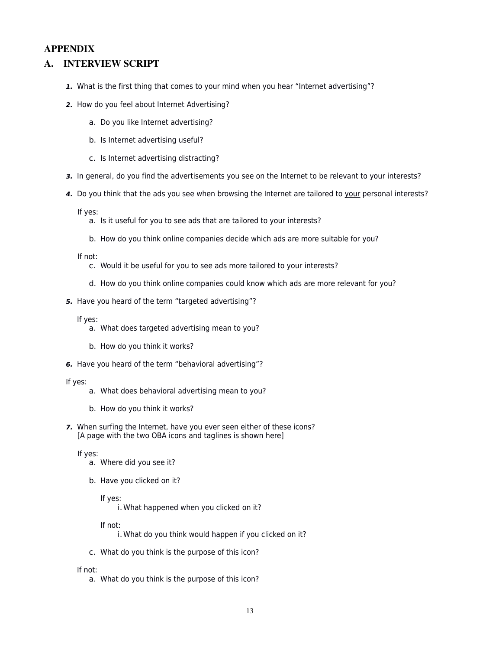## APPENDIX

## A. INTERVIEW SCRIPT

- **1.** What is the first thing that comes to your mind when you hear "Internet advertising"?
- **2.** How do you feel about Internet Advertising?
	- a. Do you like Internet advertising?
	- b. Is Internet advertising useful?
	- c. Is Internet advertising distracting?
- **3.** In general, do you find the advertisements you see on the Internet to be relevant to your interests?
- **4.** Do you think that the ads you see when browsing the Internet are tailored to your personal interests?

If yes:

- a. Is it useful for you to see ads that are tailored to your interests?
- b. How do you think online companies decide which ads are more suitable for you?

If not:

- c. Would it be useful for you to see ads more tailored to your interests?
- d. How do you think online companies could know which ads are more relevant for you?
- **5.** Have you heard of the term "targeted advertising"?

If yes:

- a. What does targeted advertising mean to you?
- b. How do you think it works?
- **6.** Have you heard of the term "behavioral advertising"?

#### If yes:

- a. What does behavioral advertising mean to you?
- b. How do you think it works?
- **7.** When surfing the Internet, have you ever seen either of these icons? [A page with the two OBA icons and taglines is shown here]

If yes:

- a. Where did you see it?
- b. Have you clicked on it?

#### If yes:

i. What happened when you clicked on it?

## If not:

i. What do you think would happen if you clicked on it?

c. What do you think is the purpose of this icon?

If not:

a. What do you think is the purpose of this icon?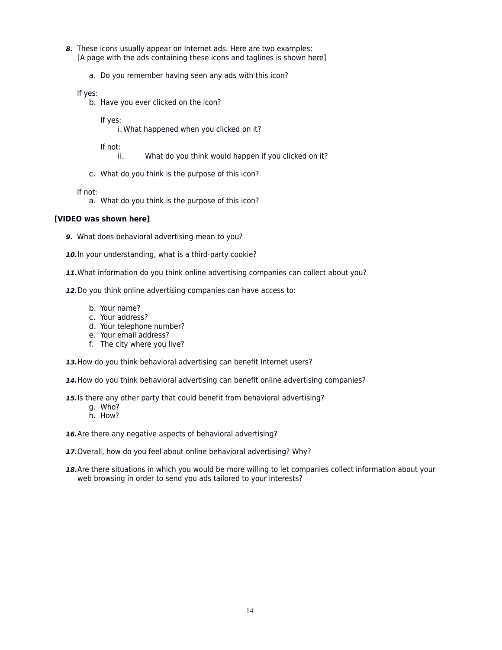- **8.** These icons usually appear on Internet ads. Here are two examples: [A page with the ads containing these icons and taglines is shown here]
	- a. Do you remember having seen any ads with this icon?

If yes:

b. Have you ever clicked on the icon?

If yes:

i. What happened when you clicked on it?

If not:

- ii. What do you think would happen if you clicked on it?
- c. What do you think is the purpose of this icon?

If not:

a. What do you think is the purpose of this icon?

## **[VIDEO was shown here]**

**9.** What does behavioral advertising mean to you?

**10.**In your understanding, what is a third-party cookie?

**11.**What information do you think online advertising companies can collect about you?

**12.**Do you think online advertising companies can have access to:

- b. Your name?
- c. Your address?
- d. Your telephone number?
- e. Your email address?
- f. The city where you live?

**13.**How do you think behavioral advertising can benefit Internet users?

**14.**How do you think behavioral advertising can benefit online advertising companies?

**15.**Is there any other party that could benefit from behavioral advertising?

- g. Who?
- h. How?

**16.**Are there any negative aspects of behavioral advertising?

17. Overall, how do you feel about online behavioral advertising? Why?

**18.**Are there situations in which you would be more willing to let companies collect information about your web browsing in order to send you ads tailored to your interests?